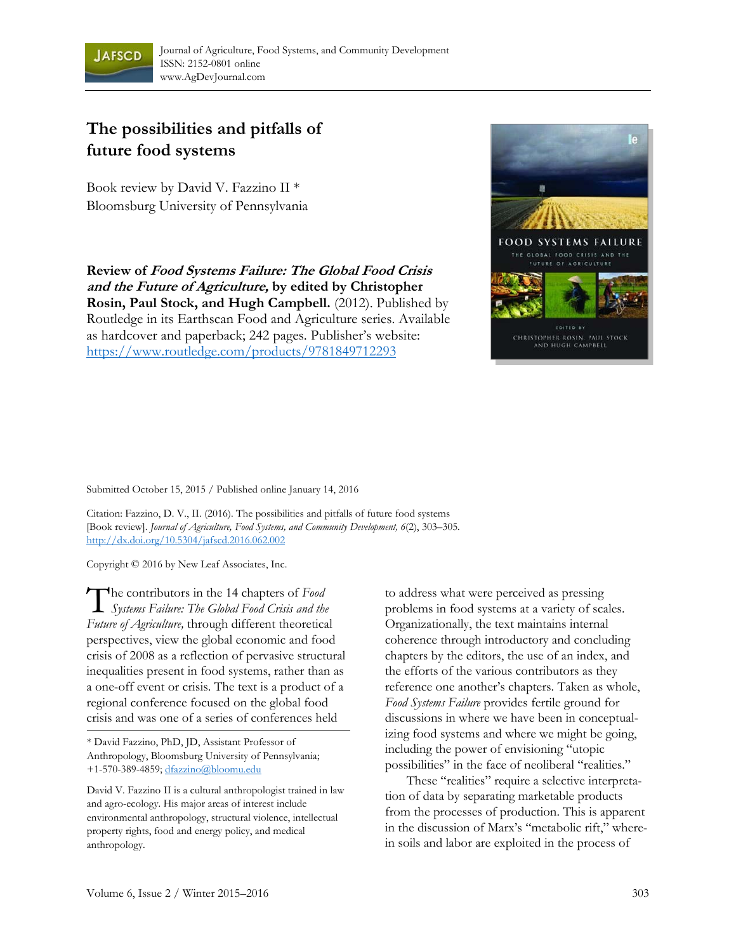

## **The possibilities and pitfalls of future food systems**

Book review by David V. Fazzino II \* Bloomsburg University of Pennsylvania

**Review of Food Systems Failure: The Global Food Crisis and the Future of Agriculture, by edited by Christopher Rosin, Paul Stock, and Hugh Campbell.** (2012). Published by Routledge in its Earthscan Food and Agriculture series. Available as hardcover and paperback; 242 pages. Publisher's website: https://www.routledge.com/products/9781849712293



Submitted October 15, 2015 / Published online January 14, 2016

Citation: Fazzino, D. V., II. (2016). The possibilities and pitfalls of future food systems [Book review]. *Journal of Agriculture, Food Systems, and Community Development, 6*(2), 303–305*.*  http://dx.doi.org/10.5304/jafscd.2016.062.002

Copyright © 2016 by New Leaf Associates, Inc.

The contributors in the 14 chapters of *Food*<br>Systems Failure: The Global Food Crisis and the *Systems Failure: The Global Food Crisis and the Future of Agriculture,* through different theoretical perspectives, view the global economic and food crisis of 2008 as a reflection of pervasive structural inequalities present in food systems, rather than as a one-off event or crisis. The text is a product of a regional conference focused on the global food crisis and was one of a series of conferences held

\* David Fazzino, PhD, JD, Assistant Professor of Anthropology, Bloomsburg University of Pennsylvania; +1-570-389-4859; dfazzino@bloomu.edu

David V. Fazzino II is a cultural anthropologist trained in law and agro-ecology. His major areas of interest include environmental anthropology, structural violence, intellectual property rights, food and energy policy, and medical anthropology.

to address what were perceived as pressing problems in food systems at a variety of scales. Organizationally, the text maintains internal coherence through introductory and concluding chapters by the editors, the use of an index, and the efforts of the various contributors as they reference one another's chapters. Taken as whole, *Food Systems Failure* provides fertile ground for discussions in where we have been in conceptualizing food systems and where we might be going, including the power of envisioning "utopic possibilities" in the face of neoliberal "realities."

 These "realities" require a selective interpretation of data by separating marketable products from the processes of production. This is apparent in the discussion of Marx's "metabolic rift," wherein soils and labor are exploited in the process of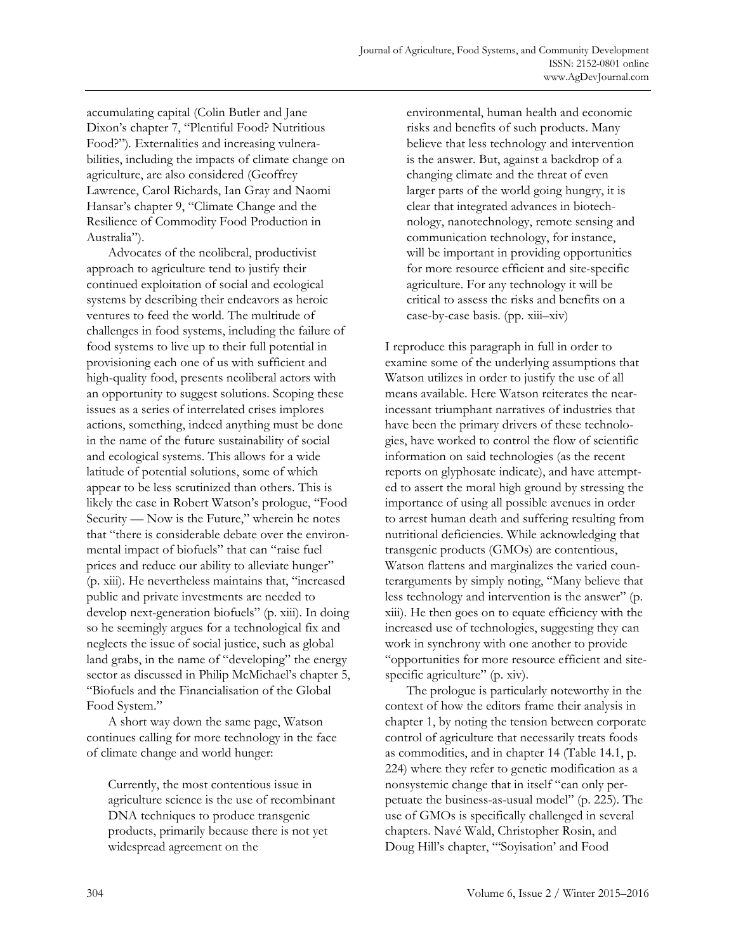accumulating capital (Colin Butler and Jane Dixon's chapter 7, "Plentiful Food? Nutritious Food?")*.* Externalities and increasing vulnerabilities, including the impacts of climate change on agriculture, are also considered (Geoffrey Lawrence, Carol Richards, Ian Gray and Naomi Hansar's chapter 9, "Climate Change and the Resilience of Commodity Food Production in Australia").

 Advocates of the neoliberal, productivist approach to agriculture tend to justify their continued exploitation of social and ecological systems by describing their endeavors as heroic ventures to feed the world. The multitude of challenges in food systems, including the failure of food systems to live up to their full potential in provisioning each one of us with sufficient and high-quality food, presents neoliberal actors with an opportunity to suggest solutions. Scoping these issues as a series of interrelated crises implores actions, something, indeed anything must be done in the name of the future sustainability of social and ecological systems. This allows for a wide latitude of potential solutions, some of which appear to be less scrutinized than others. This is likely the case in Robert Watson's prologue, "Food Security — Now is the Future," wherein he notes that "there is considerable debate over the environmental impact of biofuels" that can "raise fuel prices and reduce our ability to alleviate hunger" (p. xiii). He nevertheless maintains that, "increased public and private investments are needed to develop next-generation biofuels" (p. xiii). In doing so he seemingly argues for a technological fix and neglects the issue of social justice, such as global land grabs, in the name of "developing" the energy sector as discussed in Philip McMichael's chapter 5, "Biofuels and the Financialisation of the Global Food System."

 A short way down the same page, Watson continues calling for more technology in the face of climate change and world hunger:

Currently, the most contentious issue in agriculture science is the use of recombinant DNA techniques to produce transgenic products, primarily because there is not yet widespread agreement on the

environmental, human health and economic risks and benefits of such products. Many believe that less technology and intervention is the answer. But, against a backdrop of a changing climate and the threat of even larger parts of the world going hungry, it is clear that integrated advances in biotechnology, nanotechnology, remote sensing and communication technology, for instance, will be important in providing opportunities for more resource efficient and site-specific agriculture. For any technology it will be critical to assess the risks and benefits on a case-by-case basis. (pp. xiii–xiv)

I reproduce this paragraph in full in order to examine some of the underlying assumptions that Watson utilizes in order to justify the use of all means available. Here Watson reiterates the nearincessant triumphant narratives of industries that have been the primary drivers of these technologies, have worked to control the flow of scientific information on said technologies (as the recent reports on glyphosate indicate), and have attempted to assert the moral high ground by stressing the importance of using all possible avenues in order to arrest human death and suffering resulting from nutritional deficiencies. While acknowledging that transgenic products (GMOs) are contentious, Watson flattens and marginalizes the varied counterarguments by simply noting, "Many believe that less technology and intervention is the answer" (p. xiii). He then goes on to equate efficiency with the increased use of technologies, suggesting they can work in synchrony with one another to provide "opportunities for more resource efficient and sitespecific agriculture" (p. xiv).

 The prologue is particularly noteworthy in the context of how the editors frame their analysis in chapter 1, by noting the tension between corporate control of agriculture that necessarily treats foods as commodities, and in chapter 14 (Table 14.1, p. 224) where they refer to genetic modification as a nonsystemic change that in itself "can only perpetuate the business-as-usual model" (p. 225). The use of GMOs is specifically challenged in several chapters. Navé Wald, Christopher Rosin, and Doug Hill's chapter, "'Soyisation' and Food